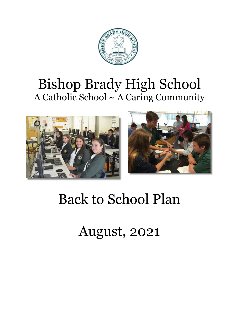

## Bishop Brady High School A Catholic School ~ A Caring Community





# Back to School Plan

August, 2021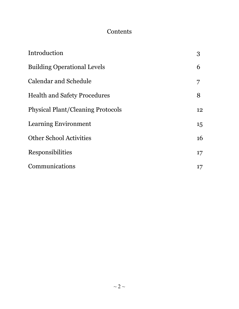## **Contents**

| Introduction                             | 3  |
|------------------------------------------|----|
| <b>Building Operational Levels</b>       | 6  |
| Calendar and Schedule                    | 7  |
| <b>Health and Safety Procedures</b>      | 8  |
| <b>Physical Plant/Cleaning Protocols</b> | 12 |
| Learning Environment                     | 15 |
| <b>Other School Activities</b>           | 16 |
| Responsibilities                         | 17 |
| Communications                           | 17 |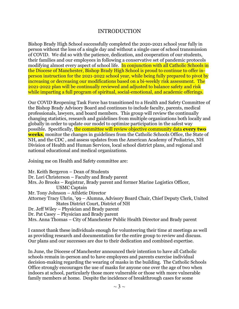#### INTRODUCTION

Bishop Brady High School successfully completed the 2020-2021 school year fully in person without the loss of a single day and without a single case of school transmission of COVID. We did so with the patience, dedication, and cooperation of our students, their families and our employees in following a conservative set of pandemic protocols modifying almost every aspect of school life. In conjunction with all Catholic Schools in the Diocese of Manchester, Bishop Brady High School is proud to continue to offer inperson instruction for the 2021-2022 school year, while being fully prepared to pivot by increasing or decreasing our modifications based on a bi-weekly risk assessment. The 2021-2022 plan will be continually reviewed and adjusted to balance safety and risk while imparting a full program of spiritual, social-emotional, and academic offerings.

Our COVID Reopening Task Force has transitioned to a Health and Safety Committee of the Bishop Brady Advisory Board and continues to include faculty, parents, medical professionals, lawyers, and board members. This group will review the continually changing statistics, research and guidelines from multiple organizations both locally and globally in order to update our model to optimize participation in the safest way possible. Specifically, the committee will review objective community data **every two weeks**, monitor the changes in guidelines from the Catholic Schools Office, the State of NH, and the CDC , and assess updates from the American Academy of Pediatrics, NH Division of Health and Human Services, local school district plans, and regional and national educational and medical organizations.

Joining me on Health and Safety committee are:

Mr. Keith Bergeron – Dean of Students Dr. Lori Christerson – Faculty and Brady parent Mrs. Jo Brooks – Registrar, Brady parent and former Marine Logistics Officer, USMC Captain Mr. Tony Johnson – Athletic Director Attorney Tracy Uhrin, '99 – Alumna, Advisory Board Chair, Chief Deputy Clerk, United States District Court, District of NH Dr. Jeff Wiley – Physician and Brady parent Dr. Pat Casey – Physician and Brady parent Mrs. Anna Thomas – City of Manchester Public Health Director and Brady parent

I cannot thank these individuals enough for volunteering their time at meetings as well as providing research and documentation for the entire group to review and discuss. Our plans and our successes are due to their dedication and combined expertise.

In June, the Diocese of Manchester announced their intention to have all Catholic schools remain in-person and to have employees and parents exercise individual decision-making regarding the wearing of masks in the building. The Catholic Schools Office strongly encourages the use of masks for anyone one over the age of two when indoors at school, particularly those more vulnerable or those with more vulnerable family members at home. Despite the incidence of breakthrough cases for some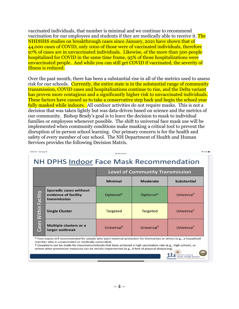vaccinated individuals, that number is minimal and we continue to recommend vaccination for our employees and students if they are medically able to receive it. The NHDHHS studies on breakthrough cases since January, 2021 have shown that of 44,000 cases of COVID, only 1000 of those were of vaccinated individuals, therefore 97% of cases are in unvaccinated individuals. Likewise, of the more than 500 people hospitalized for COVID in the same time frame, 95% of those hospitalizations were unvaccinated people. And while you can still get COVID if vaccinated, the severity of illness is reduced.

Over the past month, there has been a substantial rise in all of the metrics used to assess risk for our schools. Currently, the entire state is in the substantial range of community transmission, COVID cases and hospitalizations continue to rise, and the Delta variant has proven more contagious and a significantly higher risk to unvaccinated individuals. These factors have caused us to take a conservative step back and begin the school year fully masked while indoors. All outdoor activities do not require masks. This is not a decision that was taken lightly but was data-driven based on science and the metrics of our community. Bishop Brady's goal is to leave the decision to mask to individual families or employees whenever possible. The shift to universal face mask use will be implemented when community conditions make masking a critical tool to prevent the disruption of in-person school learning. Our primary concern is for the health and safety of every member of our school. The NH Department of Health and Human Services provides the following Decision Matrix.

| 8:20 AM Iue Aug 24                             |                                                                       | dhhs.nh.gov                            |                        | ÷ ๖3% ■ ♪              |  |  |
|------------------------------------------------|-----------------------------------------------------------------------|----------------------------------------|------------------------|------------------------|--|--|
| <b>NH DPHS Indoor Face Mask Recommendation</b> |                                                                       |                                        |                        |                        |  |  |
|                                                |                                                                       | <b>Level of Community Transmission</b> |                        |                        |  |  |
|                                                |                                                                       | <b>Minimal</b>                         | <b>Moderate</b>        | <b>Substantial</b>     |  |  |
| Within Facility<br>Cases                       | <b>Sporadic cases without</b><br>evidence of facility<br>transmission | Optional*                              | Optional*              | Universal <sup>†</sup> |  |  |
|                                                | <b>Single Cluster</b>                                                 | <b>Targeted</b>                        | <b>Targeted</b>        | Universal <sup>†</sup> |  |  |
|                                                | <b>Multiple clusters or a</b><br>larger outbreak                      | Universal <sup>+</sup>                 | Universal <sup>†</sup> | Universal <sup>†</sup> |  |  |

Face masks still recommended for people who want maximal protection for themselves or others (e.g., a household member who is unvaccinated or medically vulnerable)

NH DIVISION OF<br>Public Health Services

t Exceptions can be made for classrooms/schools that have achieved a high vaccination rate (e.g., high-school), or where other prevention measures can be strictly implemented (e.g., 6 feet of physical distancing)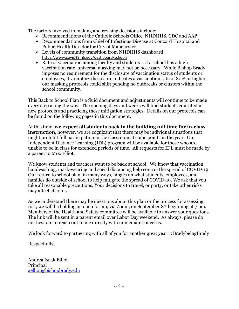The factors involved in making and revising decisions include:

- $\triangleright$  Recommendations of the Catholic Schools Office, NHDHHS, CDC and AAP
- Recommendations from Chief of Infectious Disease at Concord Hospital and Public Health Director for City of Manchester
- Levels of community transition from NHDHHS dashboard <https://www.covid19.nh.gov/dashboard/schools>
- $\triangleright$  Rate of vaccination among faculty and students if a school has a high vaccination rate, universal masking may not be necessary. While Bishop Brady imposes no requirement for the disclosure of vaccination status of students or employees, if voluntary disclosure indicates a vaccination rate of 80% or higher, our masking protocols could shift pending no outbreaks or clusters within the school community.

This Back to School Plan is a fluid document and adjustments will continue to be made every step along the way. The opening days and weeks will find students educated in new protocols and practicing these mitigation strategies. Details on our protocols can be found on the following pages in this document.

At this time, **we expect all students back in the building full time for in-class instruction**, however, we are cognizant that there may be individual situations that might prohibit full participation in the classroom at some points in the year. Our Independent Distance Learning (IDL) program will be available for those who are unable to be in class for extended periods of time. All requests for IDL must be made by a parent to Mrs. Elliot.

We know students and teachers want to be back at school. We know that vaccination, handwashing, mask-wearing and social distancing help control the spread of COVID-19. Our return to school plan, in many ways, hinges on what students, employees, and families do outside of school to help mitigate the spread of COVID-19. We ask that you take all reasonable precautions. Your decisions to travel, or party, or take other risks may affect all of us.

As we understand there may be questions about this plan or the process for assessing risk, we will be holding an open forum, via Zoom, on September 8th beginning at 7 pm. Members of the Health and Safety committee will be available to answer your questions. The link will be sent in a parent email over Labor Day weekend. As always, please do not hesitate to reach out to me directly with immediate concerns.

We look forward to partnering with all of you for another great year! #BradybeingBrady

Respectfully,

Andrea Isaak Elliot Principal [aelliot@bishopbrady.edu](mailto:aelliot@bishopbrady.edu)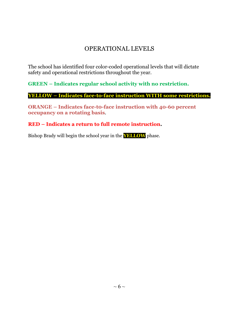## OPERATIONAL LEVELS

The school has identified four color-coded operational levels that will dictate safety and operational restrictions throughout the year.

**GREEN – Indicates regular school activity with no restriction.**

**YELLOW – Indicates face-to-face instruction WITH some restrictions.**

**ORANGE – Indicates face-t0-face instruction with 40-60 percent occupancy on a rotating basis**.

**RED – Indicates a return to full remote instruction.**

Bishop Brady will begin the school year in the **YELLOW** phase.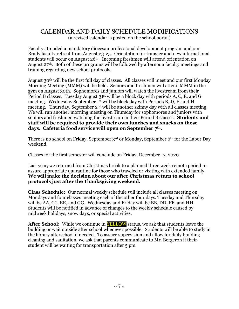#### CALENDAR AND DAILY SCHEDULE MODIFICATIONS (a revised calendar is posted on the school portal)

Faculty attended a mandatory diocesan professional development program and our Brady faculty retreat from August 23-25. Orientation for transfer and new international students will occur on August 26<sup>th</sup>. Incoming freshmen will attend orientation on August  $27<sup>th</sup>$ . Both of these programs will be followed by afternoon faculty meetings and training regarding new school protocols.

August 30th will be the first full day of classes. All classes will meet and our first Monday Morning Meeting (MMM) will be held. Seniors and freshmen will attend MMM in the gym on August 30th. Sophomores and juniors will watch the livestream from their Period B classes. Tuesday August 31<sup>st</sup> will be a block day with periods A, C, E, and G meeting. Wednesday September 1st will be block day with Periods B, D, F, and H meeting. Thursday, September 2<sup>nd</sup> will be another skinny day with all classes meeting. We will run another morning meeting on Thursday for sophomores and juniors with seniors and freshmen watching the livestream in their Period B classes. **Students and staff will be required to provide their own lunches and snacks on these days. Cafeteria food service will open on September 7th.**

There is no school on Friday, September 3rd or Monday, September 6th for the Labor Day weekend.

Classes for the first semester will conclude on Friday, December 17, 2020.

Last year, we returned from Christmas break to a planned three week remote period to assure appropriate quarantine for those who traveled or visiting with extended family. **We will make the decision about our after Christmas return to school protocols just after the Thanksgiving weekend.** 

**Class Schedule:** Our normal weekly schedule will include all classes meeting on Mondays and four classes meeting each of the other four days. Tuesday and Thursday will be AA, CC, EE, and GG. Wednesday and Friday will be BB, DD, FF, and HH. Students will be notified in advance of changes to the weekly schedule caused by midweek holidays, snow days, or special activities.

**After School:** While we continue in **YELLOW** status, we ask that students leave the building or wait outside after school whenever possible. Students will be able to study in the library afterschool if needed. To assure supervision and allow for daily building cleaning and sanitation, we ask that parents communicate to Mr. Bergeron if their student will be waiting for transportation after 5 pm.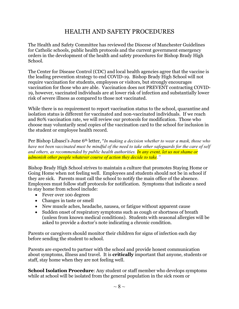## HEALTH AND SAFETY PROCEDURES

The Health and Safety Committee has reviewed the Diocese of Manchester Guidelines for Catholic schools, public health protocols and the current government emergency orders in the development of the health and safety procedures for Bishop Brady High School.

The Center for Disease Control (CDC) and local health agencies agree that the vaccine is the leading prevention strategy to end COVID-19. Bishop Brady High School will not require vaccination for students, employees or visitors, but strongly encourages vaccination for those who are able. Vaccination does not PREVENT contracting COVID-19, however, vaccinated individuals are at lower risk of infection and substantially lower risk of severe illness as compared to those not vaccinated.

While there is no requirement to report vaccination status to the school, quarantine and isolation status is different for vaccinated and non-vaccinated individuals. If we reach and 80% vaccination rate, we will review our protocols for modification. Those who choose may voluntarily send copies of the vaccination card to the school for inclusion in the student or employee health record.

Per Bishop Libasci's June 6th letter, "*In making a decision whether to wear a mask, those who* have not been vaccinated must be mindful of the need to take other safeguards for the care of self *and others, as recommended by public health authorities. In any event, let us not shame or admonish other people whatever course of action they decide to take."*

Bishop Brady High School strives to maintain a culture that promotes Staying Home or Going Home when not feeling well. Employees and students should not be in school if they are sick. Parents must call the school to notify the main office of the absence. Employees must follow staff protocols for notification. Symptoms that indicate a need to stay home from school include:

- Fever over 100 degrees
- Changes in taste or smell
- New muscle aches, headache, nausea, or fatigue without apparent cause
- Sudden onset of respiratory symptoms such as cough or shortness of breath (unless from known medical conditions). Students with seasonal allergies will be asked to provide a doctor's note indicating a chronic condition.

Parents or caregivers should monitor their children for signs of infection each day before sending the student to school.

Parents are expected to partner with the school and provide honest communication about symptoms, illness and travel. It is **critically** important that anyone, students or staff, stay home when they are not feeling well.

**School Isolation Procedure**: Any student or staff member who develops symptoms while at school will be isolated from the general population in the sick room or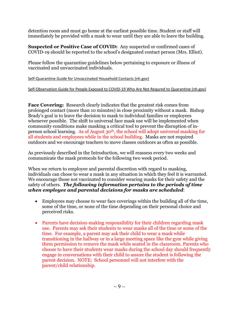detention room and must go home at the earliest possible time. Student or staff will immediately be provided with a mask to wear until they are able to leave the building.

**Suspected or Positive Case of COVID:** Any suspected or confirmed cases of COVID-19 should be reported to the school's designated contact person (Mrs. Elliot).

Please follow the quarantine guidelines below pertaining to exposure or illness of vaccinated and unvaccinated individuals.

[Self-Quarantine](https://www.dhhs.nh.gov/dphs/cdcs/covid19/documents/self-quarantine-covid.pdf) Guide for Unvaccinated Household Contacts (nh.gov)

#### [Self-Observation](https://www.dhhs.nh.gov/dphs/cdcs/covid19/documents/self-observation-covid.pdf) Guide for People Exposed to COVID-19 Who Are Not Requred to Quarantine (nh.gov)

**Face Covering:** Research clearly indicates that the greatest risk comes from prolonged contact (more than 10 minutes) in close proximity without a mask. Bishop Brady's goal is to leave the decision to mask to individual families or employees whenever possible. The shift to universal face mask use will be implemented when community conditions make masking a critical tool to prevent the disruption of inperson school learning. As of August 30th, the school will adopt universal masking for all students and employees while in the school building. Masks are not required outdoors and we encourage teachers to move classes outdoors as often as possible.

As previously described in the Introduction, we will reassess every two weeks and communicate the mask protocols for the following two week period.

When we return to employee and parental discretion with regard to masking, individuals can chose to wear a mask in any situation in which they feel it is warranted. We encourage those not vaccinated to consider wearing masks for their safety and the safety of others. *The following information pertains to the periods of time when employee and parental decisions for masks are scheduled*:

- Employees may choose to wear face coverings within the building all of the time, some of the time, or none of the time depending on their personal choice and perceived risks.
- Parents have decision-making responsibility for their children regarding mask use. Parents may ask their students to wear masks all of the time or some of the time. For example, a parent may ask their child to wear a mask while transitioning in the hallway or in a large meeting space like the gym while giving them permission to remove the mask while seated in the classroom. Parents who choose to have their students wear masks during the school day should frequently engage in conversations with their child to assure the student is following the parent decision. NOTE: School personnel will not interfere with the parent/child relationship.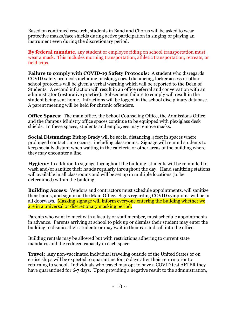Based on continued research, students in Band and Chorus will be asked to wear protective masks/face shields during active participation in singing or playing an instrument even during the discretionary period.

**By federal mandate**, any student or employee riding on school transportation must wear a mask. This includes morning transportation, athletic transportation, retreats, or field trips.

**Failure to comply with COVID-19 Safety Protocols:** A student who disregards COVID safety protocols including masking, social distancing, locker access or other school protocols will be given a verbal warning which will be reported to the Dean of Students. A second infraction will result in an office referral and conversation with an administrator (restorative practice). Subsequent failure to comply will result in the student being sent home. Infractions will be logged in the school disciplinary database. A parent meeting will be held for chronic offenders.

**Office Spaces**: The main office, the School Counseling Office, the Admissions Office and the Campus Ministry office spaces continue to be equipped with plexiglass desk shields. In these spaces, students and employees may remove masks.

**Social Distancing**: Bishop Brady will be social distancing 4 feet in spaces where prolonged contact time occurs, including classrooms. Signage will remind students to keep socially distant when waiting in the cafeteria or other areas of the building where they may encounter a line.

**Hygiene**: In addition to signage throughout the building, students will be reminded to wash and/or sanitize their hands regularly throughout the day. Hand sanitizing stations will available in all classrooms and will be set up in multiple locations (to be determined) within the building.

**Building Access:** Vendors and contractors must schedule appointments, will sanitize their hands, and sign in at the Main Office. Signs regarding COVID symptoms will be in all doorways. Masking signage will inform everyone entering the building whether we are in a universal or discretionary masking period.

Parents who want to meet with a faculty or staff member, must schedule appointments in advance. Parents arriving at school to pick up or dismiss their student may enter the building to dismiss their students or may wait in their car and call into the office.

Building rentals may be allowed but with restrictions adhering to current state mandates and the reduced capacity in each space.

**Travel:** Any non-vaccinated individual traveling outside of the United States or on cruise ships will be expected to quarantine for 10 days after their return prior to returning to school. Individuals who travel may opt to have a COVID test AFTER they have quarantined for 6-7 days. Upon providing a negative result to the administration,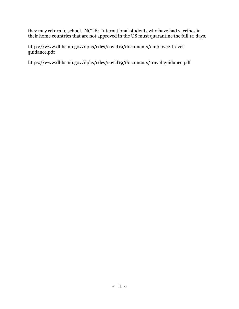they may return to school. NOTE: International students who have had vaccines in their home countries that are not approved in the US must quarantine the full 10 days.

[https://www.dhhs.nh.gov/dphs/cdcs/covid19/documents/employee-travel](https://www.dhhs.nh.gov/dphs/cdcs/covid19/documents/employee-travel-guidance.pdf)[guidance.pdf](https://www.dhhs.nh.gov/dphs/cdcs/covid19/documents/employee-travel-guidance.pdf)

<https://www.dhhs.nh.gov/dphs/cdcs/covid19/documents/travel-guidance.pdf>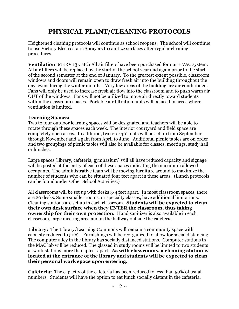## **PHYSICAL PLANT/CLEANING PROTOCOLS**

Heightened cleaning protocols will continue as school reopens. The school will continue to use Victory Electrostatic Sprayers to sanitize surfaces after regular cleaning procedures.

**Ventilation**: MERV 13 Catch All air filters have been purchased for our HVAC system. All air filters will be replaced by the start of the school year and again prior to the start of the second semester at the end of January. To the greatest extent possible, classroom windows and doors will remain open to draw fresh air into the building throughout the day, even during the winter months. Very few areas of the building are air conditioned. Fans will only be used to increase fresh air flow into the classroom and to push warm air OUT of the windows. Fans will not be utilized to move air directly toward students within the classroom spaces. Portable air filtration units will be used in areas where ventilation is limited.

#### **Learning Spaces:**

Two to four outdoor learning spaces will be designated and teachers will be able to rotate through these spaces each week. The interior courtyard and field space are completely open areas. In addition, two 20'x30' tents will be set up from September through November and a gain from April to June. Additional picnic tables are on order and two groupings of picnic tables will also be available for classes, meetings, study hall or lunches.

Large spaces (library, cafeteria, gymnasium) will all have reduced capacity and signage will be posted at the entry of each of these spaces indicating the maximum allowed occupants. The administrative team will be moving furniture around to maximize the number of students who can be situated four feet apart in these areas. (Lunch protocols can be found under Other School Activities.)

All classrooms will be set up with desks 3-4 feet apart. In most classroom spaces, there are 20 desks. Some smaller rooms, or specialty classes, have additional limitations. Cleaning stations are set up in each classroom. **Students will be expected to clean their own desk surface when they ENTER the classroom, thus taking ownership for their own protection.** Hand sanitizer is also available in each classroom, large meeting area and in the hallway outside the cafeteria.

**Library:** The Library/Learning Commons will remain a community space with capacity reduced to 50%. Furnishings will be reorganized to allow for social distancing. The computer alley in the library has socially distanced stations. Computer stations in the MAC lab will be reduced. The glassed in study rooms will be limited to two students at work stations more than 4 feet apart. **As with classrooms, a cleaning station is located at the entrance of the library and students will be expected to clean their personal work space upon entering.**

**Cafeteria:** The capacity of the cafeteria has been reduced to less than 50% of usual numbers. Students will have the option to eat lunch socially distant in the cafeteria,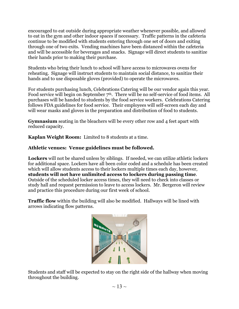encouraged to eat outside during appropriate weather whenever possible, and allowed to eat in the gym and other indoor spaces if necessary. Traffic patterns in the cafeteria continue to be modified with students entering through one set of doors and exiting through one of two exits. Vending machines have been distanced within the cafeteria and will be accessible for beverages and snacks. Signage will direct students to sanitize their hands prior to making their purchase.

Students who bring their lunch to school will have access to microwaves ovens for reheating. Signage will instruct students to maintain social distance, to sanitize their hands and to use disposable gloves (provided) to operate the microwaves.

For students purchasing lunch, Celebrations Catering will be our vendor again this year. Food service will begin on September 7<sup>th</sup>. There will be no self-service of food items. All purchases will be handed to students by the food service workers. Celebrations Catering follows FDA guidelines for food service. Their employees will self-screen each day and will wear masks and gloves in the preparation and distribution of food to students.

**Gymnasium** seating in the bleachers will be every other row and 4 feet apart with reduced capacity.

**Kaplan Weight Room:** Limited to 8 students at a time.

#### **Athletic venues: Venue guidelines must be followed.**

**Lockers** will not be shared unless by siblings. If needed, we can utilize athletic lockers for additional space. Lockers have all been color coded and a schedule has been created which will allow students access to their lockers multiple times each day, however, **students will not have unlimited access to lockers during passing time**. Outside of the scheduled locker access times, they will need to check into classes or study hall and request permission to leave to access lockers. Mr. Bergeron will review and practice this procedure during our first week of school.

**Traffic flow** within the building will also be modified. Hallways will be lined with arrows indicating flow patterns.



Students and staff will be expected to stay on the right side of the hallway when moving throughout the building.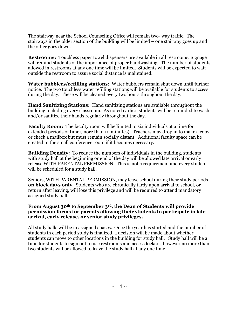The stairway near the School Counseling Office will remain two- way traffic. The stairways in the older section of the building will be limited – one stairway goes up and the other goes down.

**Restrooms:** Touchless paper towel dispensers are available in all restrooms. Signage will remind students of the importance of proper handwashing. The number of students allowed in restrooms at any one time will be limited. Students will be expected to wait outside the restroom to assure social distance is maintained.

**Water bubblers/refilling stations:** Water bubblers remain shut down until further notice. The two touchless water refilling stations will be available for students to access during the day. These will be cleaned every two hours throughout the day.

**Hand Sanitizing Stations:** Hand sanitizing stations are available throughout the building including every classroom. As noted earlier, students will be reminded to wash and/or sanitize their hands regularly throughout the day.

**Faculty Room:** The faculty room will be limited to six individuals at a time for extended periods of time (more than 10 minutes). Teachers may drop in to make a copy or check a mailbox but must remain socially distant. Additional faculty space can be created in the small conference room if it becomes necessary.

**Building Density:** To reduce the numbers of individuals in the building, students with study hall at the beginning or end of the day will be allowed late arrival or early release WITH PARENTAL PERMISSION. This is not a requirement and every student will be scheduled for a study hall.

Seniors, WITH PARENTAL PERMISSION, may leave school during their study periods **on block days only**. Students who are chronically tardy upon arrival to school, or return after leaving, will lose this privilege and will be required to attend mandatory assigned study hall.

#### **From August 30th to September 3rd, the Dean of Students will provide permission forms for parents allowing their students to participate in late arrival, early release, or senior study privileges.**

All study halls will be in assigned spaces. Once the year has started and the number of students in each period study is finalized, a decision will be made about whether students can move to other locations in the building for study hall. Study hall will be a time for students to sign out to use restrooms and access lockers, however no more than two students will be allowed to leave the study hall at any one time.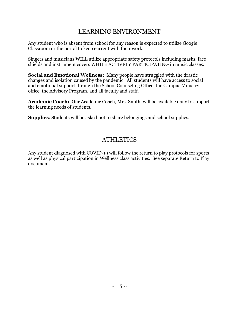## LEARNING ENVIRONMENT

Any student who is absent from school for any reason is expected to utilize Google Classroom or the portal to keep current with their work.

Singers and musicians WILL utilize appropriate safety protocols including masks, face shields and instrument covers WHILE ACTIVELY PARTICIPATING in music classes.

**Social and Emotional Wellness:** Many people have struggled with the drastic changes and isolation caused by the pandemic. All students will have access to social and emotional support through the School Counseling Office, the Campus Ministry office, the Advisory Program, and all faculty and staff.

**Academic Coach:** Our Academic Coach, Mrs. Smith, will be available daily to support the learning needs of students.

**Supplies**: Students will be asked not to share belongings and school supplies.

## **ATHLETICS**

Any student diagnosed with COVID-19 will follow the return to play protocols for sports as well as physical participation in Wellness class activities. See separate Return to Play document.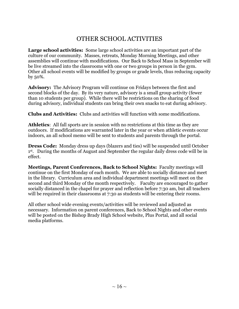## OTHER SCHOOL ACTIVITIES

**Large school activities:** Some large school activities are an important part of the culture of our community. Masses, retreats, Monday Morning Meetings, and other assemblies will continue with modifications. Our Back to School Mass in September will be live streamed into the classrooms with one or two groups in person in the gym. Other all school events will be modified by groups or grade levels, thus reducing capacity by 50%.

**Advisory:** The Advisory Program will continue on Fridays between the first and second blocks of the day. By its very nature, advisory is a small group activity (fewer than 10 students per group). While there will be restrictions on the sharing of food during advisory, individual students can bring their own snacks to eat during advisory.

**Clubs and Activities:** Clubs and activities will function with some modifications.

**Athletics**: All fall sports are in session with no restrictions at this time as they are outdoors. If modifications are warranted later in the year or when athletic events occur indoors, an all school memo will be sent to students and parents through the portal.

**Dress Code:** Monday dress up days (blazers and ties) will be suspended until October 1st. During the months of August and September the regular daily dress code will be in effect.

**Meetings, Parent Conferences, Back to School Nights:** Faculty meetings will continue on the first Monday of each month. We are able to socially distance and meet in the library. Curriculum area and individual department meetings will meet on the second and third Monday of the month respectively. Faculty are encouraged to gather socially distanced in the chapel for prayer and reflection before 7:30 am, but all teachers will be required in their classrooms at 7:30 as students will be entering their rooms.

All other school wide evening events/activities will be reviewed and adjusted as necessary. Information on parent conferences, Back to School Nights and other events will be posted on the Bishop Brady High School website, Plus Portal, and all social media platforms.